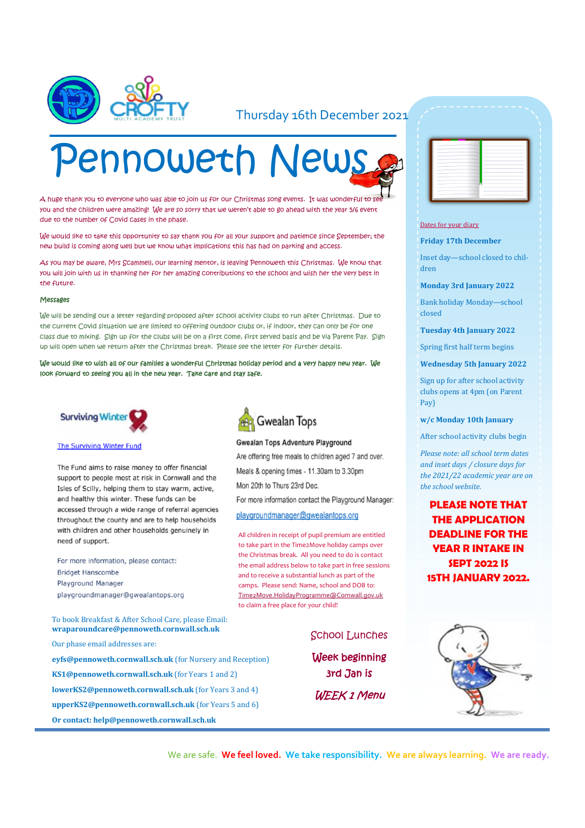

#### Thursday 16th December 2021

# Pennoweth News

A huge thank you to everyone who was able to join us for our Christmas song events. It was wonderful to s you and the children were amazing! We are so sorry that we weren't able to go ahead with the year 5/6 event due to the number of Covid cases in the phase.

We would like to take this opportunity to say thank you for all your support and patience since September; the new build is coming along well but we know what implications this has had on parking and access.

As you may be aware, Mrs Scammell, our learning mentor, is leaving Pennoweth this Christmas. We know that you will join with us in thanking her for her amazing contributions to the school and wish her the very best in the future.

#### Meccadec

We will be sending out a letter regarding proposed after school activity clubs to run after Christmas. Due to the current Covid situation we are limited to offering outdoor clubs or, if indoor, they can only be for one class due to mixing. Sign up for the clubs will be on a first come, first served basis and be via Parent Pay. Sign up will open when we return after the Christmas break. Please see the letter for further details.

We would like to wish all of our families a wonderful Christmas holiday period and a very happy new year. We look forward to seeing you all in the new year. Take care and stay safe.





The Fund aims to raise money to offer financial support to people most at risk in Cornwall and the Isles of Scilly, helping them to stay warm, active, and healthy this winter. These funds can be accessed through a wide range of referral agencies throughout the county and are to help households with children and other households genuinely in need of support.

For more information, please contact: **Bridget Hanscombe Playground Manager** playgroundmanager@gwealantops.org

To book Breakfast & After School Care, please Email: **wraparoundcare@pennoweth.cornwall.sch.uk**

Our phase email addresses are:

**eyfs@pennoweth.cornwall.sch.uk** (for Nursery and Reception) **KS1@pennoweth.cornwall.sch.uk** (for Years 1 and 2) **lowerKS2@pennoweth.cornwall.sch.uk** (for Years 3 and 4) **upperKS2@pennoweth.cornwall.sch.uk** (for Years 5 and 6) **Or contact: help@pennoweth.cornwall.sch.uk**



#### **Gwealan Tops Adventure Playground**

Are offering free meals to children aged 7 and over. Meals & opening times - 11.30am to 3.30pm Mon 20th to Thurs 23rd Dec.

For more information contact the Playground Manager:

#### playgroundmanager@gwealantops.org

All children in receipt of pupil premium are entitled to take part in the Time2Move holiday camps over the Christmas break. All you need to do is contact the email address below to take part in free sessions and to receive a substantial lunch as part of the camps. Please send: Name, school and DOB to: [Time2Move.HolidayProgramme@Cornwall.gov.uk](mailto:Time2Move.HolidayProgramme@Cornwall.gov.uk) to claim a free place for your child!

#### School Lunches

Week beginning 3rd Jan is **WEEK 1 Menu** 

|   | -              | $\sim$ | - |
|---|----------------|--------|---|
|   | ٠              |        |   |
|   |                |        |   |
|   | -              |        |   |
|   | c              |        |   |
|   | -              |        |   |
|   |                |        | ۰ |
|   | ÷              |        | - |
|   | -              |        |   |
|   |                | -      | - |
|   | -              |        | ۰ |
|   | <b>Service</b> |        |   |
|   | -              |        | - |
|   | --             | $\sim$ | ÷ |
|   |                |        |   |
| ٠ | $\sim$         |        |   |
|   | -              |        |   |
|   |                |        |   |
|   | $\sim$         |        |   |
|   | يست            |        |   |
|   |                |        |   |

#### Dates for your diary

**Friday 17th December**

Inset day—school closed to children

**Monday 3rd January 2022**

Bank holiday Monday—school closed

**Tuesday 4th January 2022**

Spring first half term begins

**Wednesday 5th January 2022**

Sign up for after school activity clubs opens at 4pm (on Parent Pay)

**w/c Monday 10th January**

After school activity clubs begin

*Please note: all school term dates and inset days / closure days for the 2021/22 academic year are on the school website.* 

**PLEASE NOTE THAT THE APPLICATION DEADLINE FOR THE YEAR R INTAKE IN SEPT 2022 IS 15TH JANUARY 2022.**



We are safe. **We feel loved. We take responsibility. We are always learning. We are ready.**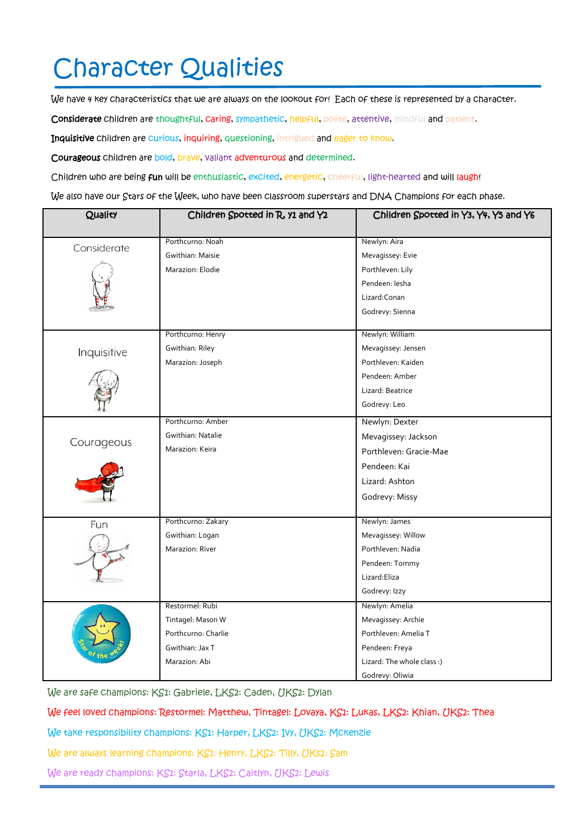### Character Qualities

We have 4 key characteristics that we are always on the lookout for! Each of these is represented by a character.

Considerate children are thoughtful, caring, sympathetic, helpful, polite, attentive, mindful and patient.

Inquisitive children are curious, inquiring, questioning, intrigued and eager to know.

Courageous children are bold, brave, valiant adventurous and determined.

Children who are being fun will be enthusiastic, excited, energetic, cheerful, light-hearted and will laugh!

We also have our Stars of the Week, who have been classroom superstars and DNA Champions for each phase.

| Quality     | Children Spotted in R, y1 and Y2 | Children Spotted in Y3, Y4, Y5 and Y6 |
|-------------|----------------------------------|---------------------------------------|
|             |                                  |                                       |
| Considerate | Porthcurno: Noah                 | Newlyn: Aira                          |
|             | Gwithian: Maisie                 | Mevagissey: Evie                      |
|             | Marazion: Elodie                 | Porthleven: Lily                      |
|             |                                  | Pendeen: Iesha                        |
|             |                                  | Lizard: Conan                         |
|             |                                  | Godrevy: Sienna                       |
|             | Porthcurno: Henry                | Newlyn: William                       |
| Inquisitive | Gwithian: Riley                  | Mevagissey: Jensen                    |
|             | Marazion: Joseph                 | Porthleven: Kaiden                    |
|             |                                  | Pendeen: Amber                        |
|             |                                  | Lizard: Beatrice                      |
|             |                                  | Godrevy: Leo                          |
|             | Porthcurno: Amber                | Newlyn: Dexter                        |
| Courageous  | Gwithian: Natalie                | Mevagissey: Jackson                   |
|             | Marazion: Keira                  | Porthleven: Gracie-Mae                |
|             |                                  | Pendeen: Kai                          |
|             |                                  | Lizard: Ashton                        |
|             |                                  | Godrevy: Missy                        |
|             |                                  |                                       |
| Fun         | Porthcurno: Zakary               | Newlyn: James                         |
|             | Gwithian: Logan                  | Mevagissey: Willow                    |
|             | Marazion: River                  | Porthleven: Nadia                     |
|             |                                  | Pendeen: Tommy                        |
|             |                                  | Lizard:Eliza                          |
|             |                                  | Godrevy: Izzy                         |
|             | Restormel: Rubi                  | Newlyn: Amelia                        |
|             | Tintagel: Mason W                | Mevagissey: Archie                    |
|             | Porthcurno: Charlie              | Porthleven: Amelia T                  |
|             | Gwithian: Jax T                  | Pendeen: Freya                        |
|             | Marazion: Abi                    | Lizard: The whole class :)            |
|             |                                  | Godrevy: Oliwia                       |

We are safe champions: KS1: Gabriele, LKS2: Caden, UKS2: Dylan

We feel loved champions: Restormel: Matthew, Tintagel: Lovaya, KS1: Lukas, LKS2: Khian, UKS2: Thea

We take responsibility champions: KS1: Harper, LKS2: Ivy, UKS2: Mckenzie

We are always learning champions: KS1: Henry, LKS2: Tilly, UKs2: Sam

We are ready champions: KS1: Starla, LKS2: Caitlyn, UKS2: Lewis